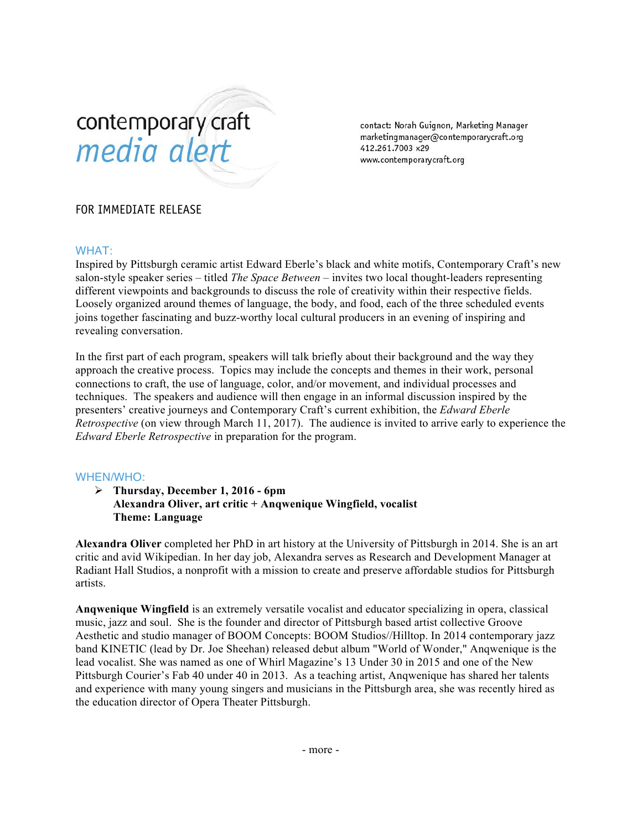# contemporary craft media alert

contact: Norah Guignon, Marketing Manager marketingmanager@contemporarycraft.org 412.261.7003 x29 www.contemporarycraft.org

## FOR IMMEDIATE RELEASE

#### WHAT:

Inspired by Pittsburgh ceramic artist Edward Eberle's black and white motifs, Contemporary Craft's new salon-style speaker series – titled *The Space Between* – invites two local thought-leaders representing different viewpoints and backgrounds to discuss the role of creativity within their respective fields. Loosely organized around themes of language, the body, and food, each of the three scheduled events joins together fascinating and buzz-worthy local cultural producers in an evening of inspiring and revealing conversation.

In the first part of each program, speakers will talk briefly about their background and the way they approach the creative process. Topics may include the concepts and themes in their work, personal connections to craft, the use of language, color, and/or movement, and individual processes and techniques. The speakers and audience will then engage in an informal discussion inspired by the presenters' creative journeys and Contemporary Craft's current exhibition, the *Edward Eberle Retrospective* (on view through March 11, 2017). The audience is invited to arrive early to experience the *Edward Eberle Retrospective* in preparation for the program.

### WHEN/WHO:

 **Thursday, December 1, 2016 - 6pm Alexandra Oliver, art critic + Anqwenique Wingfield, vocalist Theme: Language**

**Alexandra Oliver** completed her PhD in art history at the University of Pittsburgh in 2014. She is an art critic and avid Wikipedian. In her day job, Alexandra serves as Research and Development Manager at Radiant Hall Studios, a nonprofit with a mission to create and preserve affordable studios for Pittsburgh artists.

**Anqwenique Wingfield** is an extremely versatile vocalist and educator specializing in opera, classical music, jazz and soul. She is the founder and director of Pittsburgh based artist collective Groove Aesthetic and studio manager of BOOM Concepts: BOOM Studios//Hilltop. In 2014 contemporary jazz band KINETIC (lead by Dr. Joe Sheehan) released debut album "World of Wonder," Anqwenique is the lead vocalist. She was named as one of Whirl Magazine's 13 Under 30 in 2015 and one of the New Pittsburgh Courier's Fab 40 under 40 in 2013. As a teaching artist, Anqwenique has shared her talents and experience with many young singers and musicians in the Pittsburgh area, she was recently hired as the education director of Opera Theater Pittsburgh.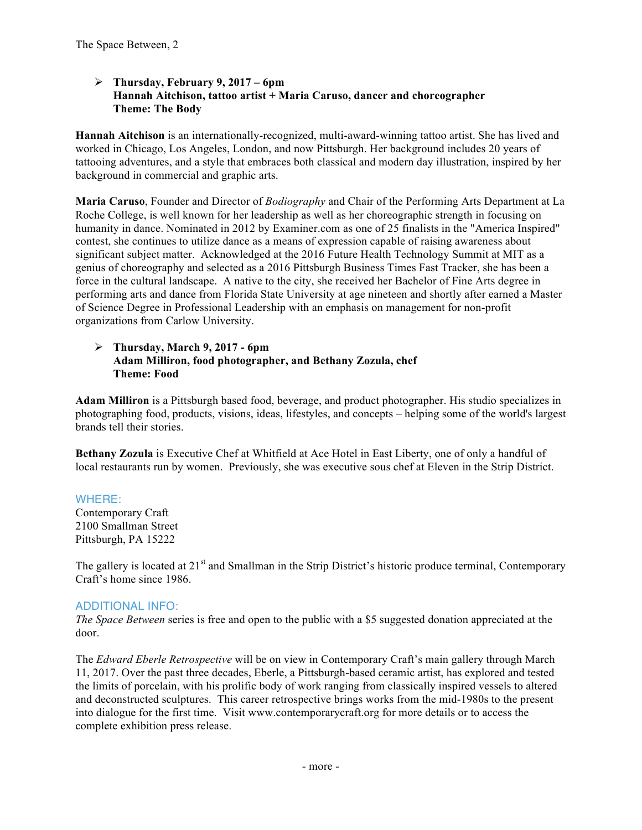### **Thursday, February 9, 2017 – 6pm Hannah Aitchison, tattoo artist + Maria Caruso, dancer and choreographer Theme: The Body**

**Hannah Aitchison** is an internationally-recognized, multi-award-winning tattoo artist. She has lived and worked in Chicago, Los Angeles, London, and now Pittsburgh. Her background includes 20 years of tattooing adventures, and a style that embraces both classical and modern day illustration, inspired by her background in commercial and graphic arts.

**Maria Caruso**, Founder and Director of *Bodiography* and Chair of the Performing Arts Department at La Roche College, is well known for her leadership as well as her choreographic strength in focusing on humanity in dance. Nominated in 2012 by Examiner.com as one of 25 finalists in the "America Inspired" contest, she continues to utilize dance as a means of expression capable of raising awareness about significant subject matter. Acknowledged at the 2016 Future Health Technology Summit at MIT as a genius of choreography and selected as a 2016 Pittsburgh Business Times Fast Tracker, she has been a force in the cultural landscape. A native to the city, she received her Bachelor of Fine Arts degree in performing arts and dance from Florida State University at age nineteen and shortly after earned a Master of Science Degree in Professional Leadership with an emphasis on management for non-profit organizations from Carlow University.

#### **Thursday, March 9, 2017 - 6pm Adam Milliron, food photographer, and Bethany Zozula, chef Theme: Food**

**Adam Milliron** is a Pittsburgh based food, beverage, and product photographer. His studio specializes in photographing food, products, visions, ideas, lifestyles, and concepts – helping some of the world's largest brands tell their stories.

**Bethany Zozula** is Executive Chef at Whitfield at Ace Hotel in East Liberty, one of only a handful of local restaurants run by women. Previously, she was executive sous chef at Eleven in the Strip District.

## WHERE:

Contemporary Craft 2100 Smallman Street Pittsburgh, PA 15222

The gallery is located at 21<sup>st</sup> and Smallman in the Strip District's historic produce terminal, Contemporary Craft's home since 1986.

## ADDITIONAL INFO:

*The Space Between* series is free and open to the public with a \$5 suggested donation appreciated at the door.

The *Edward Eberle Retrospective* will be on view in Contemporary Craft's main gallery through March 11, 2017. Over the past three decades, Eberle, a Pittsburgh-based ceramic artist, has explored and tested the limits of porcelain, with his prolific body of work ranging from classically inspired vessels to altered and deconstructed sculptures. This career retrospective brings works from the mid-1980s to the present into dialogue for the first time. Visit www.contemporarycraft.org for more details or to access the complete exhibition press release.